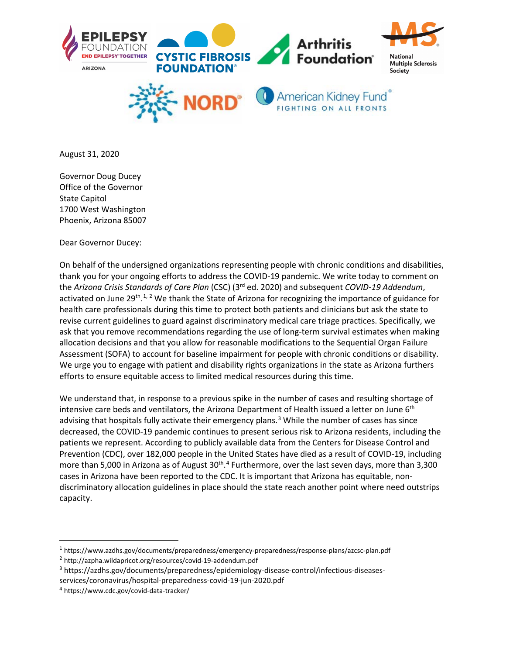

August 31, 2020

Governor Doug Ducey Office of the Governor State Capitol 1700 West Washington Phoenix, Arizona 85007

Dear Governor Ducey:

On behalf of the undersigned organizations representing people with chronic conditions and disabilities, thank you for your ongoing efforts to address the COVID-19 pandemic. We write today to comment on the *Arizona Crisis Standards of Care Plan* (CSC) (3rd ed. 2020) and subsequent *COVID-19 Addendum*, activated on June 29<sup>th</sup>.<sup>[1,](#page-0-0) [2](#page-0-1)</sup> We thank the State of Arizona for recognizing the importance of guidance for health care professionals during this time to protect both patients and clinicians but ask the state to revise current guidelines to guard against discriminatory medical care triage practices. Specifically, we ask that you remove recommendations regarding the use of long-term survival estimates when making allocation decisions and that you allow for reasonable modifications to the Sequential Organ Failure Assessment (SOFA) to account for baseline impairment for people with chronic conditions or disability. We urge you to engage with patient and disability rights organizations in the state as Arizona furthers efforts to ensure equitable access to limited medical resources during this time.

We understand that, in response to a previous spike in the number of cases and resulting shortage of intensive care beds and ventilators, the Arizona Department of Health issued a letter on June 6<sup>th</sup> advising that hospitals fully activate their emergency plans.<sup>[3](#page-0-2)</sup> While the number of cases has since decreased, the COVID-19 pandemic continues to present serious risk to Arizona residents, including the patients we represent. According to publicly available data from the Centers for Disease Control and Prevention (CDC), over 182,000 people in the United States have died as a result of COVID-19, including more than 5,000 in Arizona as of August 30<sup>th</sup>.<sup>[4](#page-0-3)</sup> Furthermore, over the last seven days, more than 3,300 cases in Arizona have been reported to the CDC. It is important that Arizona has equitable, nondiscriminatory allocation guidelines in place should the state reach another point where need outstrips capacity.

<span id="page-0-0"></span><sup>1</sup> https://www.azdhs.gov/documents/preparedness/emergency-preparedness/response-plans/azcsc-plan.pdf

<span id="page-0-1"></span><sup>2</sup> http://azpha.wildapricot.org/resources/covid-19-addendum.pdf

<span id="page-0-2"></span><sup>3</sup> https://azdhs.gov/documents/preparedness/epidemiology-disease-control/infectious-diseases-

services/coronavirus/hospital-preparedness-covid-19-jun-2020.pdf

<span id="page-0-3"></span><sup>4</sup> https://www.cdc.gov/covid-data-tracker/